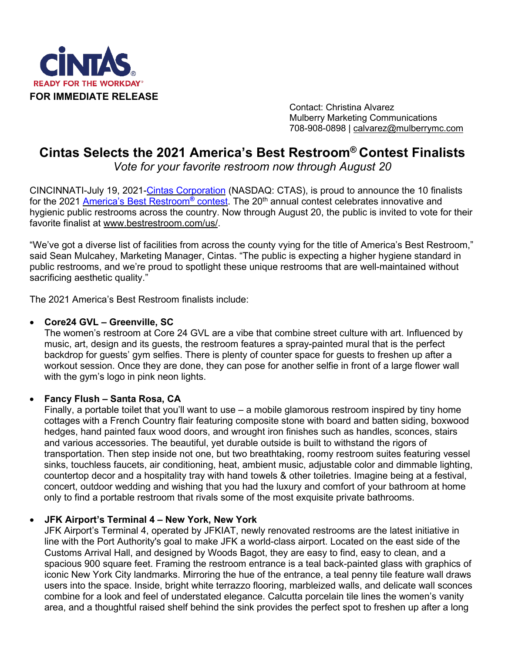

Contact: Christina Alvarez Mulberry Marketing Communications 708-908-0898 | [calvarez@mulberrymc.com](mailto:calvarez@mulberrymc.com)

# **Cintas Selects the 2021 America's Best Restroom® Contest Finalists**

*Vote for your favorite restroom now through August 20*

CINCINNATI-July 19, 2021[-Cintas Corporation](http://www.cintas.com/) (NASDAQ: CTAS), is proud to announce the 10 finalists for the 2021 [America's Best Restroom](http://www.bestrestroom.com/us/)<sup>®</sup> contest. The 20<sup>th</sup> annual contest celebrates innovative and hygienic public restrooms across the country. Now through August 20, the public is invited to vote for their favorite finalist at [www.bestrestroom.com/us/.](http://www.bestrestroom.com/us/)

"We've got a diverse list of facilities from across the county vying for the title of America's Best Restroom," said Sean Mulcahey, Marketing Manager, Cintas. "The public is expecting a higher hygiene standard in public restrooms, and we're proud to spotlight these unique restrooms that are well-maintained without sacrificing aesthetic quality."

The 2021 America's Best Restroom finalists include:

#### • **Core24 GVL – Greenville, SC**

The women's restroom at Core 24 GVL are a vibe that combine street culture with art. Influenced by music, art, design and its guests, the restroom features a spray-painted mural that is the perfect backdrop for guests' gym selfies. There is plenty of counter space for guests to freshen up after a workout session. Once they are done, they can pose for another selfie in front of a large flower wall with the gym's logo in pink neon lights.

# • **Fancy Flush – Santa Rosa, CA**

Finally, a portable toilet that you'll want to use – a mobile glamorous restroom inspired by tiny home cottages with a French Country flair featuring composite stone with board and batten siding, boxwood hedges, hand painted faux wood doors, and wrought iron finishes such as handles, sconces, stairs and various accessories. The beautiful, yet durable outside is built to withstand the rigors of transportation. Then step inside not one, but two breathtaking, roomy restroom suites featuring vessel sinks, touchless faucets, air conditioning, heat, ambient music, adjustable color and dimmable lighting, countertop decor and a hospitality tray with hand towels & other toiletries. Imagine being at a festival, concert, outdoor wedding and wishing that you had the luxury and comfort of your bathroom at home only to find a portable restroom that rivals some of the most exquisite private bathrooms.

# • **JFK Airport's Terminal 4 – New York, New York**

JFK Airport's Terminal 4, operated by JFKIAT, newly renovated restrooms are the latest initiative in line with the Port Authority's goal to make JFK a world-class airport. Located on the east side of the Customs Arrival Hall, and designed by Woods Bagot, they are easy to find, easy to clean, and a spacious 900 square feet. Framing the restroom entrance is a teal back-painted glass with graphics of iconic New York City landmarks. Mirroring the hue of the entrance, a teal penny tile feature wall draws users into the space. Inside, bright white terrazzo flooring, marbleized walls, and delicate wall sconces combine for a look and feel of understated elegance. Calcutta porcelain tile lines the women's vanity area, and a thoughtful raised shelf behind the sink provides the perfect spot to freshen up after a long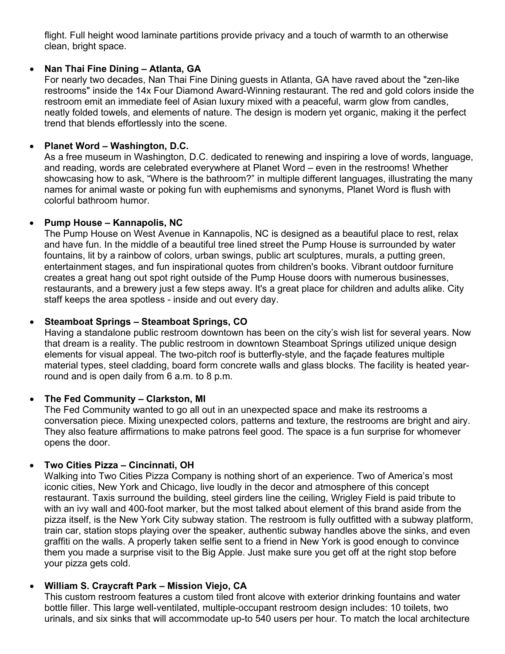flight. Full height wood laminate partitions provide privacy and a touch of warmth to an otherwise clean, bright space.

# • **Nan Thai Fine Dining – Atlanta, GA**

For nearly two decades, Nan Thai Fine Dining guests in Atlanta, GA have raved about the "zen-like restrooms" inside the 14x Four Diamond Award-Winning restaurant. The red and gold colors inside the restroom emit an immediate feel of Asian luxury mixed with a peaceful, warm glow from candles, neatly folded towels, and elements of nature. The design is modern yet organic, making it the perfect trend that blends effortlessly into the scene.

# • **Planet Word – Washington, D.C.**

As a free museum in Washington, D.C. dedicated to renewing and inspiring a love of words, language, and reading, words are celebrated everywhere at Planet Word – even in the restrooms! Whether showcasing how to ask, "Where is the bathroom?" in multiple different languages, illustrating the many names for animal waste or poking fun with euphemisms and synonyms, Planet Word is flush with colorful bathroom humor.

# • **Pump House – Kannapolis, NC**

The Pump House on West Avenue in Kannapolis, NC is designed as a beautiful place to rest, relax and have fun. In the middle of a beautiful tree lined street the Pump House is surrounded by water fountains, lit by a rainbow of colors, urban swings, public art sculptures, murals, a putting green, entertainment stages, and fun inspirational quotes from children's books. Vibrant outdoor furniture creates a great hang out spot right outside of the Pump House doors with numerous businesses, restaurants, and a brewery just a few steps away. It's a great place for children and adults alike. City staff keeps the area spotless - inside and out every day.

# • **Steamboat Springs – Steamboat Springs, CO**

Having a standalone public restroom downtown has been on the city's wish list for several years. Now that dream is a reality. The public restroom in downtown Steamboat Springs utilized unique design elements for visual appeal. The two-pitch roof is butterfly-style, and the façade features multiple material types, steel cladding, board form concrete walls and glass blocks. The facility is heated yearround and is open daily from 6 a.m. to 8 p.m.

# • **The Fed Community – Clarkston, MI**

The Fed Community wanted to go all out in an unexpected space and make its restrooms a conversation piece. Mixing unexpected colors, patterns and texture, the restrooms are bright and airy. They also feature affirmations to make patrons feel good. The space is a fun surprise for whomever opens the door.

# • **Two Cities Pizza – Cincinnati, OH**

Walking into Two Cities Pizza Company is nothing short of an experience. Two of America's most iconic cities, New York and Chicago, live loudly in the decor and atmosphere of this concept restaurant. Taxis surround the building, steel girders line the ceiling, Wrigley Field is paid tribute to with an ivy wall and 400-foot marker, but the most talked about element of this brand aside from the pizza itself, is the New York City subway station. The restroom is fully outfitted with a subway platform, train car, station stops playing over the speaker, authentic subway handles above the sinks, and even graffiti on the walls. A properly taken selfie sent to a friend in New York is good enough to convince them you made a surprise visit to the Big Apple. Just make sure you get off at the right stop before your pizza gets cold.

# • **William S. Craycraft Park – Mission Viejo, CA**

This custom restroom features a custom tiled front alcove with exterior drinking fountains and water bottle filler. This large well-ventilated, multiple-occupant restroom design includes: 10 toilets, two urinals, and six sinks that will accommodate up-to 540 users per hour. To match the local architecture